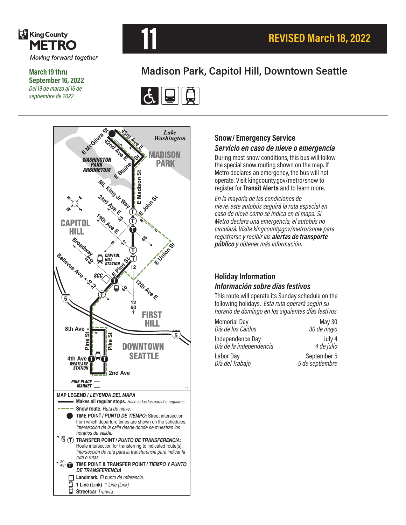

**March 19 thru September 16, 2022** *Del 19 de marzo al 16 de septiembre de 2022*



## **Madison Park, Capitol Hill, Downtown Seattle**





# **Snow/ Emergency Service**

#### *Servicio en caso de nieve o emergencia*

During most snow conditions, this bus will follow the special snow routing shown on the map. If Metro declares an emergency, the bus will not operate. Visit kingcounty.gov/metro/snow to register for **Transit Alerts** and to learn more.

*En la mayoría de las condiciones de nieve, este autobús seguirá la ruta especial en caso de nieve como se indica en el mapa. Si Metro declara una emergencia, el autobús no circulará. Visite kingcounty.gov/metro/snow para registrarse y recibir las alertas de transporte público y obtener más información.*

#### **Holiday Information** *Información sobre días festivos*

This route will operate its Sunday schedule on the following holidays. *Esta ruta operará según su horario de domingo en los siguientes días festivos.*

| <b>Memorial Day</b>     | <b>May 30</b>   |
|-------------------------|-----------------|
| Día de los Caídos       | 30 de mayo      |
| Independence Day        | July 4          |
| Día de la independencia | 4 de julio      |
| Labor Day               | September 5     |
| Día del Trabajo         | 5 de septiembre |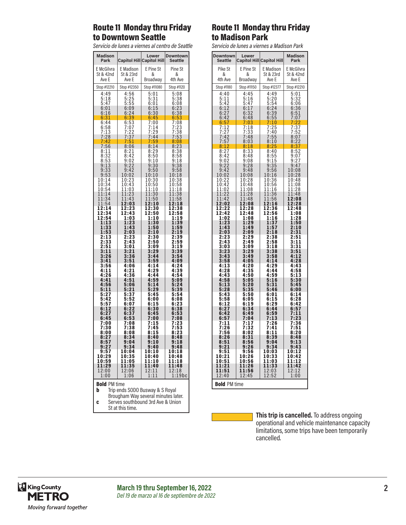#### Route 11 Monday thru Friday to Downtown Seattle

*Servicio de lunes a viernes al centro de Seattle*

| Madison                                                                     |                     | Lower                             | Downtown                                      |  |
|-----------------------------------------------------------------------------|---------------------|-----------------------------------|-----------------------------------------------|--|
| Park                                                                        |                     | <b>Capitol Hill Capitol Hill</b>  | Seattle                                       |  |
| E McGilvra                                                                  | E Madison           | E Pine St                         | Pine St                                       |  |
| St & 42nd                                                                   | St & 23rd           | &                                 | &                                             |  |
| Ave E                                                                       | Ave E               | Broadway                          | 4th Ave                                       |  |
| Stop #12210                                                                 | Stop #12350         | Stop #11080                       | Stop #1120                                    |  |
| 4:49                                                                        | $\frac{4:56}{5:25}$ | 5:01                              | 5:08                                          |  |
| 5:18                                                                        |                     | 5:31                              | 5:38                                          |  |
| 5:47                                                                        | 5:55                | 6:01                              | 6:08                                          |  |
| 6:01                                                                        | 6:09                | 6:15                              | 6:23                                          |  |
| 6:16                                                                        | 6:24                | 6:30                              | 6:38                                          |  |
| 6:31                                                                        | 6:39                | 6:45                              | 6:53                                          |  |
| 6:44                                                                        | 6:53                | 7:00                              | 7:08                                          |  |
| $6:58$<br>$7:13$                                                            | 7:07<br>7:22        | 7:14                              | 7:23<br>7:38                                  |  |
| 7:28                                                                        | 7:37                | 7:29<br>7:44                      | 7:53                                          |  |
| 7:42                                                                        | 7:51                | 7:59                              | 8:08                                          |  |
| 7:56                                                                        | 8:06                | 8:14                              | 8:23                                          |  |
| 8:11                                                                        | 8:21                | 8:29                              | 8:38                                          |  |
| 8:32                                                                        | 8:42                | 8:50                              | 8:58                                          |  |
|                                                                             | 9:02                | 9:10                              | 9:18                                          |  |
| $\frac{8:55}{9:13}$                                                         | 9:22                | 30<br>9:                          | 9:<br>38                                      |  |
| 9:33                                                                        | 9:42                | 9:50                              | 9:58                                          |  |
| 9:53                                                                        | 10:02               | 10:10                             | 10:18                                         |  |
| 10:14                                                                       | 10:23               | 10:30                             | 10:38                                         |  |
| 10:34                                                                       | 10:43               | 10:50                             | $\begin{array}{c} 10:58 \\ 11:18 \end{array}$ |  |
| 10:54                                                                       | 11:03               | 11:10                             |                                               |  |
| 11:14                                                                       | 11:23               | 11:30                             | 11:38                                         |  |
| 11:34                                                                       | 11:43               | 11:50                             | 11:58                                         |  |
| 11:54                                                                       | 12:03               | 12:10                             | 12:18                                         |  |
| 12:14                                                                       | 12:23               | 12:30                             | 12:38                                         |  |
| 12:34                                                                       | 12:43               | 12:50                             | 12:58                                         |  |
| 12:54                                                                       | 1:03                | 1:10                              | 1:19                                          |  |
| 1:13                                                                        | 1:23                | 1:30                              | 1:39                                          |  |
| 1:33                                                                        | 1:43                | 1:50                              | 1:59                                          |  |
| 1:53                                                                        | 2:03                | 2:10                              | 2:19                                          |  |
| 2:13                                                                        | 2:23                | 2:30                              | 2:39                                          |  |
| 2:33                                                                        | 2:43                | 2:50                              | 2:59                                          |  |
| 2:51                                                                        | 3:01                | 3:09                              | 3:19                                          |  |
| 3:11                                                                        | 3:21                | 3:29                              | 3:39                                          |  |
| 3:26                                                                        | 3:36                | 3:44                              | 3:54                                          |  |
| 3:41                                                                        | 3:51                | 3:59                              | 4:09                                          |  |
| 3:56                                                                        |                     | 4:14                              | 4:24                                          |  |
| 4:11                                                                        | 4:06<br>4:21        | 4:29                              | 4:39                                          |  |
| 4:26                                                                        | 4:36                | 4:44                              | 4:54                                          |  |
| 4:41                                                                        | 4:51                | 4:59                              | 5:09                                          |  |
| 4:56                                                                        | 5:06                | 5:14                              | 5:24                                          |  |
| 5:11                                                                        | 5:21                | 5:29                              | 5:39                                          |  |
| 5:27                                                                        | 5:37                | 5:45                              | 5:54                                          |  |
| 5:42                                                                        | 5:52                | 6:00                              | 6:08                                          |  |
| 5:57                                                                        | 6:07                | 6:15                              | 6:23                                          |  |
| 6:12                                                                        | 6:22                | 6:30                              | 6:38                                          |  |
| 6:27                                                                        | 6:37                | 6:45                              | 6:53                                          |  |
| 6:45                                                                        | 6:53                | 7:00                              | 7:08                                          |  |
| 7:00                                                                        | 7:08                | 7:15                              | 7:23                                          |  |
| 7:30                                                                        | 7:38                | 7:45                              | 7:53                                          |  |
| 8:00                                                                        | 8:08                | 8:15                              | 8:23                                          |  |
| 8:27                                                                        | 8:34                | 8:40                              | 8:48                                          |  |
|                                                                             | 9:04                | 9:10                              | 9:18                                          |  |
| 8:57<br>9:27                                                                | 9:34                | 9:40                              | 9:48                                          |  |
| 9:57                                                                        | 10:04               | 10:10                             | 10:18                                         |  |
| 10:29                                                                       | 10:35               | 10:40                             | 10:48                                         |  |
| 10:59                                                                       | 11:05               | 11:10                             | 11:18                                         |  |
| 11:29                                                                       | 11:35               | 11:40                             | 11:48                                         |  |
| 12:00                                                                       | 12:06               | 12:11                             | 12:18                                         |  |
| 1:00                                                                        | 1:06                | 1:11                              | 1:19bc                                        |  |
| <b>Bold PM time</b>                                                         |                     |                                   |                                               |  |
| b<br>Trip ends SODO Busway & S Royal<br>Brougham Way several minutes later. |                     |                                   |                                               |  |
|                                                                             |                     | Carves couthbound 3rd Ave & Union |                                               |  |

#### Route 11 Monday thru Friday to Madison Park

*Servicio de lunes a viernes a Madison Park*

| <b>Downtown</b><br>Seattle                                                                                                                          | Lower                                                                                | Capitol Hill Capitol Hill                                                                                                                                                     | <b>Madison</b><br>Park                                                                               |  |
|-----------------------------------------------------------------------------------------------------------------------------------------------------|--------------------------------------------------------------------------------------|-------------------------------------------------------------------------------------------------------------------------------------------------------------------------------|------------------------------------------------------------------------------------------------------|--|
| Pike St<br>&<br>4th Ave                                                                                                                             | E Pine St<br>&<br>Broadway                                                           | E Madison<br>St & 23rd<br>Ave E                                                                                                                                               | E McGilvra<br>St & 42nd<br>Ave E                                                                     |  |
| Stop #1180                                                                                                                                          | Stop #11150                                                                          | Stop #12377                                                                                                                                                                   | Stop #12210                                                                                          |  |
| 4:40<br>$\frac{1}{2}$ :11                                                                                                                           | 4:45<br>$4:45$<br>5:16<br>5:47<br>6:17<br>6:32<br>6:48<br>7:03                       | 4:49<br>$5:56:2495$<br>$5:56:2495$<br>$6:2495$<br>$7:1025$<br>$7:1025$<br>$8:11025$<br>$8:11036$<br>$8:115$<br>$9:355$<br>$9:355$<br>$9:355$<br>$10:36$<br>$10:36$<br>$11:16$ | 5:01<br>553665366517:07<br>6536655107:227:377:527<br>852277:528:2279:377:5277:528<br>88337529:279:47 |  |
|                                                                                                                                                     |                                                                                      |                                                                                                                                                                               |                                                                                                      |  |
|                                                                                                                                                     |                                                                                      |                                                                                                                                                                               |                                                                                                      |  |
|                                                                                                                                                     |                                                                                      |                                                                                                                                                                               |                                                                                                      |  |
| 5:42<br>6:127<br>6:27<br>6:427<br>6:427<br>7:127<br>7:42<br>8:27<br>8:12<br>8:42<br>9:22<br>9:42                                                    | 7:18<br>7:33<br>7:48<br>7:48<br>8:03<br>8:18<br>8:18<br>8:48<br>9:28<br>9:28<br>9:48 |                                                                                                                                                                               |                                                                                                      |  |
|                                                                                                                                                     |                                                                                      |                                                                                                                                                                               |                                                                                                      |  |
| $10:02$<br>$10:22$<br>$10:42$<br>$0:22$<br>0:42<br>1:02<br>1                                                                                        | $\begin{array}{r} 10:08 \\ 10:28 \\ 10:48 \\ 1.1.28 \end{array}$<br>1:08<br>1        |                                                                                                                                                                               | $10:28$<br>$10:48$<br>$11:08$<br>$11:28$                                                             |  |
| 1:2<br>$\overline{2}$<br>1<br>11:42<br>$\overline{\mathbf{2}}$<br>1                                                                                 | 1:28<br>1<br>11:48<br>1                                                              | 1:<br>36<br>1<br>11:56<br>1                                                                                                                                                   | 11:48<br>12:08<br>12:28                                                                              |  |
| $2:02$<br>$2:22$<br>1<br>$\overline{1}\overline{2}\overline{1}\overline{4}\overline{2}\overline{1}\overline{1}\overline{1}\overline{2}\overline{2}$ | 2:08<br>2:28<br>1<br>$\overline{1}\overline{2}: \overline{4}\overline{8}\ 1:08$      | $2:16$<br>$2:36$<br>2:36<br>2:56<br>1:16<br>1:37<br>1<br>12                                                                                                                   | 12:48                                                                                                |  |
| $\frac{1:23}{1:43}$                                                                                                                                 | 1:29<br>1:49                                                                         | $\frac{1:37}{1:57}$                                                                                                                                                           |                                                                                                      |  |
| 2:03<br>2:23<br>2:43                                                                                                                                | 2:09<br>2:29<br>2:49                                                                 | $\frac{2:18}{2:38}$<br>2:38                                                                                                                                                   | 1:08<br>1:28<br>1:50<br>1:50<br>2:10<br>2:31<br>2:31<br>3:31<br>3:31<br>3:51                         |  |
| 3:03<br>3:23<br>3:23<br>3:43<br>3:58                                                                                                                | $\frac{3:09}{3:29}$<br>$\frac{3:49}{4:25}$<br>4:05                                   | $2:18$<br>$3:38$<br>$3:58$<br>$4:14$<br>$4:99$                                                                                                                                | $3:51$<br>$4:12$<br>$4:28$<br>4:                                                                     |  |
| 4:13<br>$4:28$<br>$4:43$                                                                                                                            | 4:20<br>4:35<br>4:50<br>-                                                            | 4:29<br>$4:44$<br>$4:59$                                                                                                                                                      | 4:43                                                                                                 |  |
| 4:58<br>$\frac{5:13}{5:28}$                                                                                                                         | 5:05<br>5<br>: 20<br>5:35                                                            | $\frac{5:16}{5:31}$<br>5:31                                                                                                                                                   | $7.73$<br>$5:13$<br>$5:30$<br>$5:45$<br>6:00                                                         |  |
| $5:43$<br>$5:58$                                                                                                                                    | $\frac{5:50}{6:05}$                                                                  | 6:01<br>6:15<br>6:29                                                                                                                                                          | $6:14$<br>$6:28$<br>$6:42$                                                                           |  |
| 6:12<br>$6:27$<br>$6:42$                                                                                                                            | 6:19<br>6:34<br>6:49                                                                 | 6:44<br>6:59                                                                                                                                                                  | $6:57$<br>7:11<br>7:23                                                                               |  |
| 6:57<br>7:11<br>7                                                                                                                                   | 7:04<br>7:17<br>$\frac{1}{2}$<br>$\frac{1}{2}$<br>$\frac{1}{2}$<br>7                 | 7:13<br>7:26<br>7<br>:41                                                                                                                                                      | 7:36<br>7:51<br>:51<br>:20                                                                           |  |
| $: 26$<br>$: 56$<br>$: 26$<br>7<br>8<br>:51<br>8                                                                                                    | 8<br>$\frac{5}{3}$<br>$\overline{\mathbf{8}}$ :<br>1<br>8:56                         | 8:11<br>$\overline{3}\overline{9}$<br>8:<br>9:04                                                                                                                              | ł<br>8<br>8:48<br>9:13                                                                               |  |
| 9:21<br>$\frac{9:51}{10:21}$                                                                                                                        | 9:26<br>$\frac{9:56}{10:26}$                                                         | 9:34<br>10:03<br>10:33                                                                                                                                                        | 9:43<br>10:12<br>10:42                                                                               |  |
| 0:5<br>1<br>1<br>1:21<br>1                                                                                                                          | 0:56<br>1<br>1:26<br>1                                                               | 1:0<br>1<br>33<br>$\mathbf{1}$ :<br>1                                                                                                                                         | 1:1<br>2<br>1<br>11:4<br>$\overline{2}$                                                              |  |
| 1:51<br>1<br>2:40<br>1                                                                                                                              | 1:56<br>1<br>12:45                                                                   | $2:03$<br>$2:52$<br>1<br>1                                                                                                                                                    | $\frac{1}{1}$ $\frac{2:12}{1:00}$                                                                    |  |
| <b>Bold PM time</b>                                                                                                                                 |                                                                                      |                                                                                                                                                                               |                                                                                                      |  |

| <b>ILID CHUS JUDU DUSWAY &amp; J HUYAI</b> |
|--------------------------------------------|
| Brougham Way several minutes later.        |
| Serves southbound 3rd Ave & Union          |
| St at this time.                           |
|                                            |

**This trip is cancelled.** To address ongoing operational and vehicle maintenance capacity limitations, some trips have been temporarily cancelled.